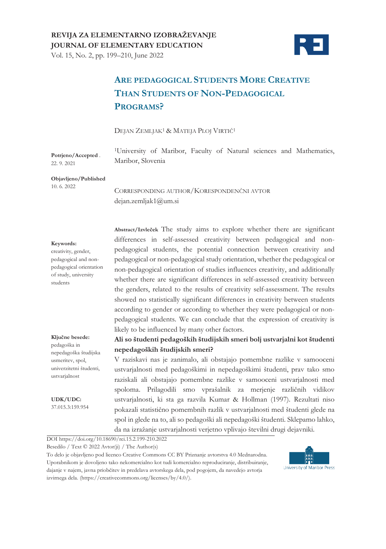

#### Vol. 15, No. 2, pp. 199–210, June 2022

# **ARE PEDAGOGICAL STUDENTS MORE CREATIVE THAN STUDENTS OF NON-PEDAGOGICAL PROGRAMS?**

#### DEJAN ZEMLJAK1 & MATEJA PLOJ VIRTIČ<sup>1</sup>

1University of Maribor, Faculty of Natural sciences and Mathematics, Maribor, Slovenia

#### **Objavljeno/Published** 10. 6. 2022

**Potrjeno/Accepted** . 22. 9. 2021

> CORRESPONDING AUTHOR/KORESPONDENČNI AVTOR dejan.zemljak1@um.si

#### **Keywords:**

creativity, gender, pedagogical and nonpedagogical orientation of study, university students

**Abstract/Izvleček** The study aims to explore whether there are significant differences in self-assessed creativity between pedagogical and nonpedagogical students, the potential connection between creativity and pedagogical or non-pedagogical study orientation, whether the pedagogical or non-pedagogical orientation of studies influences creativity, and additionally whether there are significant differences in self-assessed creativity between the genders, related to the results of creativity self-assessment. The results showed no statistically significant differences in creativity between students according to gender or according to whether they were pedagogical or nonpedagogical students. We can conclude that the expression of creativity is likely to be influenced by many other factors.

#### **Ključne besede:**

pedagoška in nepedagoška študijska usmeritev, spol, univerzitetni študenti, ustvarjalnost

**UDK/UDC:** 37.015.3:159.954

#### **Ali so študenti pedagoških študijskih smeri bolj ustvarjalni kot študenti nepedagoških študijskih smeri?**

V raziskavi nas je zanimalo, ali obstajajo pomembne razlike v samooceni ustvarjalnosti med pedagoškimi in nepedagoškimi študenti, prav tako smo raziskali ali obstajajo pomembne razlike v samooceni ustvarjalnosti med spoloma. Prilagodili smo vprašalnik za merjenje različnih vidikov ustvarjalnosti, ki sta ga razvila Kumar & Hollman (1997). Rezultati niso pokazali statistično pomembnih razlik v ustvarjalnosti med študenti glede na spol in glede na to, ali so pedagoški ali nepedagoški študenti. Sklepamo lahko, da na izražanje ustvarjalnosti verjetno vplivajo številni drugi dejavniki.

DOI https://doi.org/10.18690/rei.15.2.199-210.2022

Besedilo / Text © 2022 Avtor(ji) / The Author(s)

To delo je objavljeno pod licenco Creative Commons CC BY Priznanje avtorstva 4.0 Mednarodna. Uporabnikom je dovoljeno tako nekomercialno kot tudi komercialno reproduciranje, distribuiranje, dajanje v najem, javna priobčitev in predelava avtorskega dela, pod pogojem, da navedejo avtorja izvirnega dela. (https://creativecommons.org/licenses/by/4.0/).

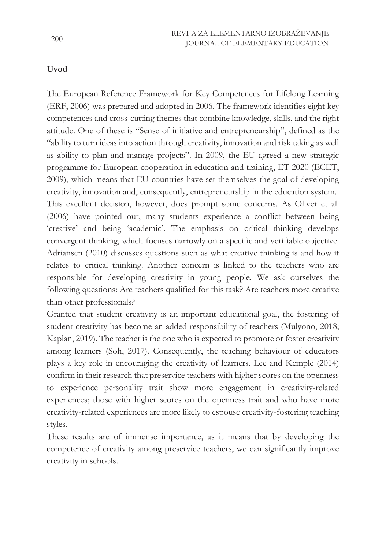### **Uvod**

The European Reference Framework for Key Competences for Lifelong Learning (ERF, 2006) was prepared and adopted in 2006. The framework identifies eight key competences and cross-cutting themes that combine knowledge, skills, and the right attitude. One of these is "Sense of initiative and entrepreneurship", defined as the "ability to turn ideas into action through creativity, innovation and risk taking as well as ability to plan and manage projects". In 2009, the EU agreed a new strategic programme for European cooperation in education and training, ET 2020 (ECET, 2009), which means that EU countries have set themselves the goal of developing creativity, innovation and, consequently, entrepreneurship in the education system. This excellent decision, however, does prompt some concerns. As Oliver et al. (2006) have pointed out, many students experience a conflict between being 'creative' and being 'academic'. The emphasis on critical thinking develops convergent thinking, which focuses narrowly on a specific and verifiable objective. Adriansen (2010) discusses questions such as what creative thinking is and how it relates to critical thinking. Another concern is linked to the teachers who are responsible for developing creativity in young people. We ask ourselves the following questions: Are teachers qualified for this task? Are teachers more creative than other professionals?

Granted that student creativity is an important educational goal, the fostering of student creativity has become an added responsibility of teachers (Mulyono, 2018; Kaplan, 2019). The teacher is the one who is expected to promote or foster creativity among learners (Soh, 2017). Consequently, the teaching behaviour of educators plays a key role in encouraging the creativity of learners. Lee and Kemple (2014) confirm in their research that preservice teachers with higher scores on the openness to experience personality trait show more engagement in creativity-related experiences; those with higher scores on the openness trait and who have more creativity-related experiences are more likely to espouse creativity-fostering teaching styles.

These results are of immense importance, as it means that by developing the competence of creativity among preservice teachers, we can significantly improve creativity in schools.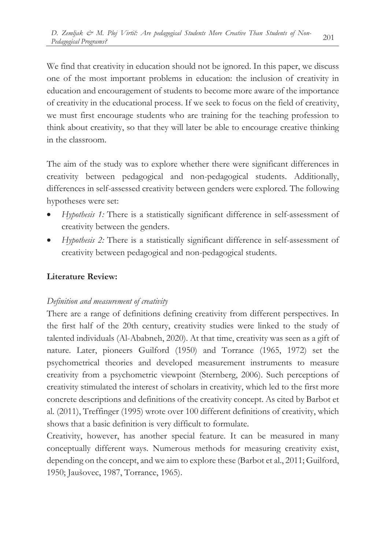We find that creativity in education should not be ignored. In this paper, we discuss one of the most important problems in education: the inclusion of creativity in education and encouragement of students to become more aware of the importance of creativity in the educational process. If we seek to focus on the field of creativity, we must first encourage students who are training for the teaching profession to think about creativity, so that they will later be able to encourage creative thinking in the classroom.

The aim of the study was to explore whether there were significant differences in creativity between pedagogical and non-pedagogical students. Additionally, differences in self-assessed creativity between genders were explored. The following hypotheses were set:

- *Hypothesis 1:* There is a statistically significant difference in self-assessment of creativity between the genders.
- *Hypothesis 2:* There is a statistically significant difference in self-assessment of creativity between pedagogical and non-pedagogical students.

## **Literature Review:**

### *Definition and measurement of creativity*

There are a range of definitions defining creativity from different perspectives. In the first half of the 20th century, creativity studies were linked to the study of talented individuals (Al-Ababneh, 2020). At that time, creativity was seen as a gift of nature. Later, pioneers Guilford (1950) and Torrance (1965, 1972) set the psychometrical theories and developed measurement instruments to measure creativity from a psychometric viewpoint (Sternberg, 2006). Such perceptions of creativity stimulated the interest of scholars in creativity, which led to the first more concrete descriptions and definitions of the creativity concept. As cited by Barbot et al. (2011), Treffinger (1995) wrote over 100 different definitions of creativity, which shows that a basic definition is very difficult to formulate.

Creativity, however, has another special feature. It can be measured in many conceptually different ways. Numerous methods for measuring creativity exist, depending on the concept, and we aim to explore these (Barbot et al., 2011; Guilford, 1950; Jaušovec, 1987, Torrance, 1965).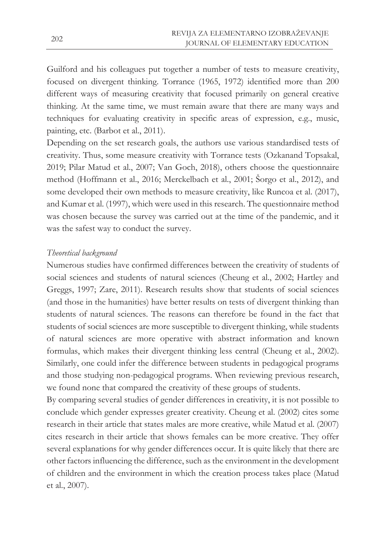Guilford and his colleagues put together a number of tests to measure creativity, focused on divergent thinking. Torrance (1965, 1972) identified more than 200 different ways of measuring creativity that focused primarily on general creative thinking. At the same time, we must remain aware that there are many ways and techniques for evaluating creativity in specific areas of expression, e.g., music, painting, etc. (Barbot et al., 2011).

Depending on the set research goals, the authors use various standardised tests of creativity. Thus, some measure creativity with Torrance tests (Ozkanand Topsakal, 2019; Pilar Matud et al., 2007; Van Goch, 2018), others choose the questionnaire method (Hoffmann et al., 2016; Merckelbach et al., 2001; Šorgo et al., 2012), and some developed their own methods to measure creativity, like Runcoa et al. (2017), and Kumar et al. (1997), which were used in this research. The questionnaire method was chosen because the survey was carried out at the time of the pandemic, and it was the safest way to conduct the survey.

### *Theoretical background*

Numerous studies have confirmed differences between the creativity of students of social sciences and students of natural sciences (Cheung et al., 2002; Hartley and Greggs, 1997; Zare, 2011). Research results show that students of social sciences (and those in the humanities) have better results on tests of divergent thinking than students of natural sciences. The reasons can therefore be found in the fact that students of social sciences are more susceptible to divergent thinking, while students of natural sciences are more operative with abstract information and known formulas, which makes their divergent thinking less central (Cheung et al., 2002). Similarly, one could infer the difference between students in pedagogical programs and those studying non-pedagogical programs. When reviewing previous research, we found none that compared the creativity of these groups of students.

By comparing several studies of gender differences in creativity, it is not possible to conclude which gender expresses greater creativity. Cheung et al. (2002) cites some research in their article that states males are more creative, while Matud et al. (2007) cites research in their article that shows females can be more creative. They offer several explanations for why gender differences occur. It is quite likely that there are other factors influencing the difference, such as the environment in the development of children and the environment in which the creation process takes place (Matud et al., 2007).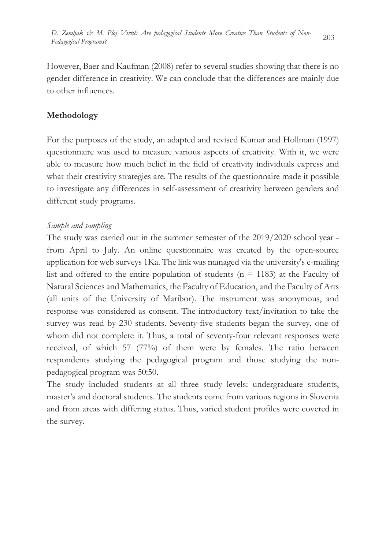However, Baer and Kaufman (2008) refer to several studies showing that there is no gender difference in creativity. We can conclude that the differences are mainly due to other influences.

## **Methodology**

For the purposes of the study, an adapted and revised Kumar and Hollman (1997) questionnaire was used to measure various aspects of creativity. With it, we were able to measure how much belief in the field of creativity individuals express and what their creativity strategies are. The results of the questionnaire made it possible to investigate any differences in self-assessment of creativity between genders and different study programs.

### *Sample and sampling*

The study was carried out in the summer semester of the 2019/2020 school year from April to July. An online questionnaire was created by the open-source application for web surveys 1Ka. The link was managed via the university's e-mailing list and offered to the entire population of students ( $n = 1183$ ) at the Faculty of Natural Sciences and Mathematics, the Faculty of Education, and the Faculty of Arts (all units of the University of Maribor). The instrument was anonymous, and response was considered as consent. The introductory text/invitation to take the survey was read by 230 students. Seventy-five students began the survey, one of whom did not complete it. Thus, a total of seventy-four relevant responses were received, of which 57 (77%) of them were by females. The ratio between respondents studying the pedagogical program and those studying the nonpedagogical program was 50:50.

The study included students at all three study levels: undergraduate students, master's and doctoral students. The students come from various regions in Slovenia and from areas with differing status. Thus, varied student profiles were covered in the survey.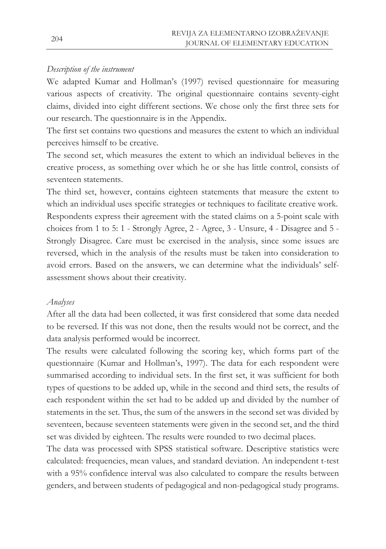### *Description of the instrument*

We adapted Kumar and Hollman's (1997) revised questionnaire for measuring various aspects of creativity. The original questionnaire contains seventy-eight claims, divided into eight different sections. We chose only the first three sets for our research. The questionnaire is in the Appendix.

The first set contains two questions and measures the extent to which an individual perceives himself to be creative.

The second set, which measures the extent to which an individual believes in the creative process, as something over which he or she has little control, consists of seventeen statements.

The third set, however, contains eighteen statements that measure the extent to which an individual uses specific strategies or techniques to facilitate creative work. Respondents express their agreement with the stated claims on a 5-point scale with choices from 1 to 5: 1 - Strongly Agree, 2 - Agree, 3 - Unsure, 4 - Disagree and 5 - Strongly Disagree. Care must be exercised in the analysis, since some issues are reversed, which in the analysis of the results must be taken into consideration to avoid errors. Based on the answers, we can determine what the individuals' selfassessment shows about their creativity.

### *Analyses*

After all the data had been collected, it was first considered that some data needed to be reversed. If this was not done, then the results would not be correct, and the data analysis performed would be incorrect.

The results were calculated following the scoring key, which forms part of the questionnaire (Kumar and Hollman's, 1997). The data for each respondent were summarised according to individual sets. In the first set, it was sufficient for both types of questions to be added up, while in the second and third sets, the results of each respondent within the set had to be added up and divided by the number of statements in the set. Thus, the sum of the answers in the second set was divided by seventeen, because seventeen statements were given in the second set, and the third set was divided by eighteen. The results were rounded to two decimal places.

The data was processed with SPSS statistical software. Descriptive statistics were calculated: frequencies, mean values, and standard deviation. An independent t-test with a 95% confidence interval was also calculated to compare the results between genders, and between students of pedagogical and non-pedagogical study programs.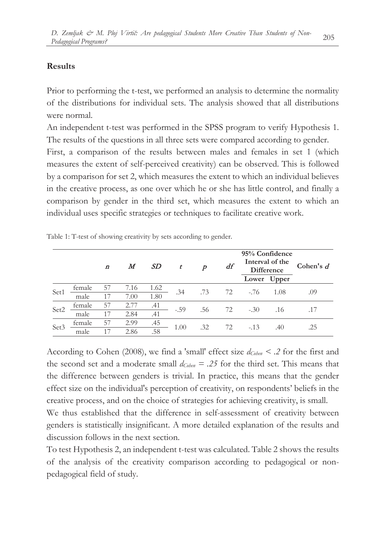### **Results**

Prior to performing the t-test, we performed an analysis to determine the normality of the distributions for individual sets. The analysis showed that all distributions were normal.

An independent t-test was performed in the SPSS program to verify Hypothesis 1. The results of the questions in all three sets were compared according to gender. First, a comparison of the results between males and females in set 1 (which measures the extent of self-perceived creativity) can be observed. This is followed by a comparison for set 2, which measures the extent to which an individual believes in the creative process, as one over which he or she has little control, and finally a comparison by gender in the third set, which measures the extent to which an individual uses specific strategies or techniques to facilitate creative work.

|                  |        | M<br>$\boldsymbol{n}$ |      | SD   | t      | p   | df | 95% Confidence<br>Interval of the<br>Difference |       | Cohen's $d$ |
|------------------|--------|-----------------------|------|------|--------|-----|----|-------------------------------------------------|-------|-------------|
|                  |        |                       |      |      |        |     |    | Lower                                           | Upper |             |
| Set1             | female | 57                    | 7.16 | 1.62 | .34    | .73 | 72 | $-.76$                                          | 1.08  | .09         |
|                  | male   | 17                    | 7.00 | 1.80 |        |     |    |                                                 |       |             |
| Set2             | female | 57                    | 2.77 | .41  | $-.59$ | .56 | 72 | $-.30$                                          | .16   |             |
|                  | male   | 17                    | 2.84 | .41  |        |     |    |                                                 |       |             |
| Set <sub>3</sub> | female | 57                    | 2.99 | .45  | 1.00   | .32 | 72 | $-.13$                                          | .40   | .25         |
|                  | male   |                       | 2.86 | .58  |        |     |    |                                                 |       |             |

Table 1: T-test of showing creativity by sets according to gender.

According to Cohen (2008), we find a 'small' effect size *dCohen < .2* for the first and the second set and a moderate small  $d_{Cohen} = .25$  for the third set. This means that the difference between genders is trivial. In practice, this means that the gender effect size on the individual's perception of creativity, on respondents' beliefs in the creative process, and on the choice of strategies for achieving creativity, is small.

We thus established that the difference in self-assessment of creativity between genders is statistically insignificant. A more detailed explanation of the results and discussion follows in the next section.

To test Hypothesis 2, an independent t-test was calculated. Table 2 shows the results of the analysis of the creativity comparison according to pedagogical or nonpedagogical field of study.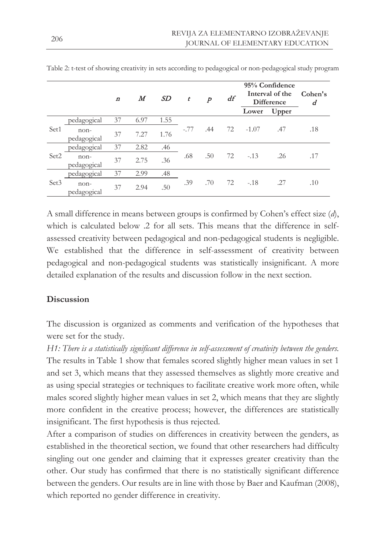|                  |                       | $\boldsymbol{n}$ | $\bm{M}$ | SD   | t      | p   | df | 95% Confidence<br>Interval of the<br><b>Difference</b> |       | Cohen's<br>d |
|------------------|-----------------------|------------------|----------|------|--------|-----|----|--------------------------------------------------------|-------|--------------|
|                  |                       |                  |          |      |        |     |    | Lower                                                  | Upper |              |
| Set1             | pedagogical           | 37               | 6.97     | 1.55 | $-.77$ | .44 | 72 | $-1.07$                                                | .47   | .18          |
|                  | $non-$<br>pedagogical | 37               | 7.27     | 1.76 |        |     |    |                                                        |       |              |
| Set2             | pedagogical           | 37               | 2.82     | .46  | .68    | .50 | 72 | $-.13$                                                 | .26   | .17          |
|                  | $non-$<br>pedagogical | 37               | 2.75     | .36  |        |     |    |                                                        |       |              |
| Set <sub>3</sub> | pedagogical           | 37               | 2.99     | .48  | .39    | .70 | 72 | $-.18$                                                 | .27   | .10          |
|                  | $non-$<br>pedagogical | 37               | 2.94     | .50  |        |     |    |                                                        |       |              |

Table 2: t-test of showing creativity in sets according to pedagogical or non-pedagogical study program

A small difference in means between groups is confirmed by Cohen's effect size (*d*), which is calculated below .2 for all sets. This means that the difference in selfassessed creativity between pedagogical and non-pedagogical students is negligible. We established that the difference in self-assessment of creativity between pedagogical and non-pedagogical students was statistically insignificant. A more detailed explanation of the results and discussion follow in the next section.

### **Discussion**

The discussion is organized as comments and verification of the hypotheses that were set for the study.

*H1: There is a statistically significant difference in self-assessment of creativity between the genders.* The results in Table 1 show that females scored slightly higher mean values in set 1 and set 3, which means that they assessed themselves as slightly more creative and as using special strategies or techniques to facilitate creative work more often, while males scored slightly higher mean values in set 2, which means that they are slightly more confident in the creative process; however, the differences are statistically insignificant. The first hypothesis is thus rejected.

After a comparison of studies on differences in creativity between the genders, as established in the theoretical section, we found that other researchers had difficulty singling out one gender and claiming that it expresses greater creativity than the other. Our study has confirmed that there is no statistically significant difference between the genders. Our results are in line with those by Baer and Kaufman (2008), which reported no gender difference in creativity.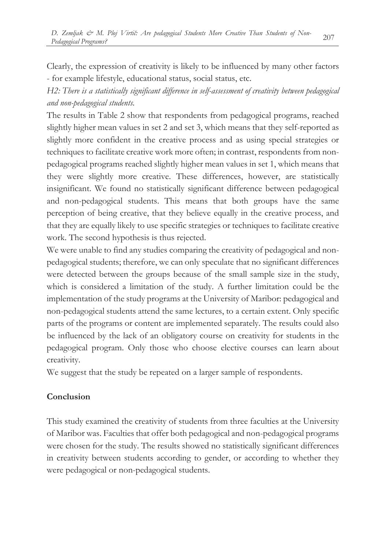Clearly, the expression of creativity is likely to be influenced by many other factors - for example lifestyle, educational status, social status, etc.

*H2: There is a statistically significant difference in self-assessment of creativity between pedagogical and non-pedagogical students.* 

The results in Table 2 show that respondents from pedagogical programs, reached slightly higher mean values in set 2 and set 3, which means that they self-reported as slightly more confident in the creative process and as using special strategies or techniques to facilitate creative work more often; in contrast, respondents from nonpedagogical programs reached slightly higher mean values in set 1, which means that they were slightly more creative. These differences, however, are statistically insignificant. We found no statistically significant difference between pedagogical and non-pedagogical students. This means that both groups have the same perception of being creative, that they believe equally in the creative process, and that they are equally likely to use specific strategies or techniques to facilitate creative work. The second hypothesis is thus rejected.

We were unable to find any studies comparing the creativity of pedagogical and nonpedagogical students; therefore, we can only speculate that no significant differences were detected between the groups because of the small sample size in the study, which is considered a limitation of the study. A further limitation could be the implementation of the study programs at the University of Maribor: pedagogical and non-pedagogical students attend the same lectures, to a certain extent. Only specific parts of the programs or content are implemented separately. The results could also be influenced by the lack of an obligatory course on creativity for students in the pedagogical program. Only those who choose elective courses can learn about creativity.

We suggest that the study be repeated on a larger sample of respondents.

### **Conclusion**

This study examined the creativity of students from three faculties at the University of Maribor was. Faculties that offer both pedagogical and non-pedagogical programs were chosen for the study. The results showed no statistically significant differences in creativity between students according to gender, or according to whether they were pedagogical or non-pedagogical students.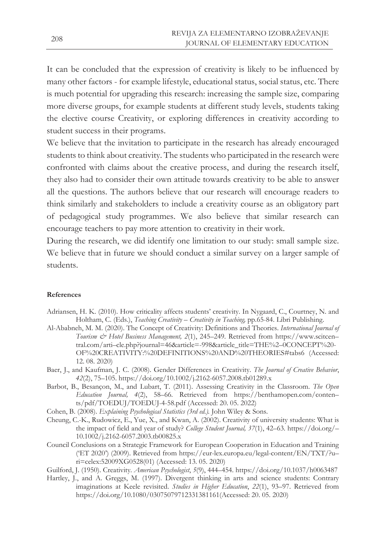It can be concluded that the expression of creativity is likely to be influenced by many other factors - for example lifestyle, educational status, social status, etc. There is much potential for upgrading this research: increasing the sample size, comparing more diverse groups, for example students at different study levels, students taking the elective course Creativity, or exploring differences in creativity according to student success in their programs.

We believe that the invitation to participate in the research has already encouraged students to think about creativity. The students who participated in the research were confronted with claims about the creative process, and during the research itself, they also had to consider their own attitude towards creativity to be able to answer all the questions. The authors believe that our research will encourage readers to think similarly and stakeholders to include a creativity course as an obligatory part of pedagogical study programmes. We also believe that similar research can encourage teachers to pay more attention to creativity in their work.

During the research, we did identify one limitation to our study: small sample size. We believe that in future we should conduct a similar survey on a larger sample of students.

#### **References**

- Adriansen, H. K. (2010). How criticality affects students' creativity. In Nygaard, C., Courtney, N. and Holtham, C. (Eds.), *Teaching Creativity – Creativity in Teaching,* pp.65-84. Libri Publishing.
- Al-Ababneh, M. M. (2020). The Concept of Creativity: Definitions and Theories. *International Journal of Tourism & Hotel Business Management, 2*(1), 245–249. Retrieved from https://www.scitcen– tral.com/arti–cle.php?journal=46&article=-998&article\_title=THE%2–0CONCEPT%20- OF%20CREATIVITY:%20DEFINITIONS%20AND%20THEORIES#tabs6 (Accessed: 12. 08. 2020)
- Baer, J., and Kaufman, J. C. (2008). Gender Differences in Creativity. *The Journal of Creative Behavior*, *42*(2), 75–105. https://doi.org/10.1002/j.2162-6057.2008.tb01289.x
- Barbot, B., Besançon, M., and Lubart, T. (2011). Assessing Creativity in the Classroom. *The Open Education Journal, 4*(2), 58–66. Retrieved from https://benthamopen.com/conten– ts/pdf/TOEDUJ/TOEDUJ-4-58.pdf (Accessed: 20. 05. 2022)
- Cohen, B. (2008). *Explaining Psychological Statistics (3rd ed.).* John Wiley & Sons.
- Cheung, C.-K., Rudowicz, E., Yue, X., and Kwan, A. (2002). Creativity of university students: What is the impact of field and year of study? *College Student Journal, 37*(1), 42–63. https://doi.org/– 10.1002/j.2162-6057.2003.tb00825.x
- Council Conclusions on a Strategic Framework for European Cooperation in Education and Training ('ET 2020') (2009). Retrieved from https://eur-lex.europa.eu/legal-content/EN/TXT/?u– ri=celex:52009XG0528(01) (Accessed: 13. 05. 2020)
- Guilford, J. (1950). Creativity*. American Psychologist*, *5*(9), 444–454. https://doi.org/10.1037/h0063487
- Hartley, J., and A. Greggs, M. (1997). Divergent thinking in arts and science students: Contrary imaginations at Keele revisited. *Studies in Higher Education*, *22*(1), 93–97. Retrieved from https://doi.org/10.1080/03075079712331381161(Accessed: 20. 05. 2020)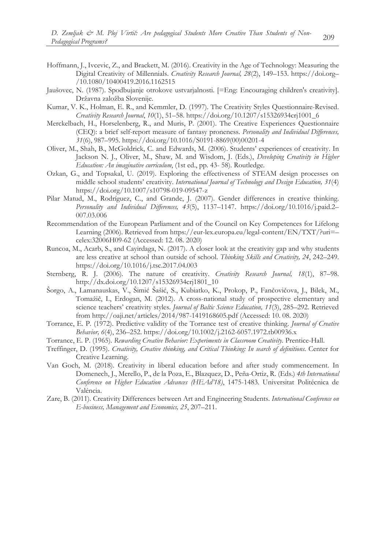- Hoffmann, J., Ivcevic, Z., and Brackett, M. (2016). Creativity in the Age of Technology: Measuring the Digital Creativity of Millennials. *Creativity Research Journal, 28*(2), 149–153. https://doi.org– /10.1080/10400419.2016.1162515
- Jaušovec, N. (1987). Spodbujanje otrokove ustvarjalnosti. [=Eng: Encouraging children's creativity]. Državna založba Slovenije.
- Kumar, V. K., Holman, E. R., and Kemmler, D. (1997). The Creativity Styles Questionnaire-Revised. *Creativity Research Journal*, *10*(1), 51–58. https://doi.org/10.1207/s15326934crj1001\_6
- Merckelbach, H., Horselenberg, R., and Muris, P. (2001). The Creative Experiences Questionnaire (CEQ): a brief self-report measure of fantasy proneness. *Personality and Individual Differences, 31*(6), 987–995. https://doi.org/10.1016/S0191-8869(00)00201-4
- Oliver, M., Shah, B., McGoldrick, C. and Edwards, M. (2006). Students' experiences of creativity. In Jackson N. J., Oliver, M., Shaw, M. and Wisdom, J. (Eds.), *Developing Creativity in Higher Education: An imaginative curriculum*, (1st ed., pp. 43- 58). Routledge.
- Ozkan, G., and Topsakal, U. (2019). Exploring the effectiveness of STEAM design processes on middle school students' creativity. *International Journal of Technology and Design Education, 31*(4) https://doi.org/10.1007/s10798-019-09547-z
- Pilar Matud, M., Rodríguez, C., and Grande, J. (2007). Gender differences in creative thinking. *Personality and Individual Differences, 43*(5), 1137–1147. https://doi.org/10.1016/j.paid.2– 007.03.006
- Recommendation of the European Parliament and of the Council on Key Competences for Lifelong Learning (2006). Retrieved from https://eur-lex.europa.eu/legal-content/EN/TXT/?uri=– celex:32006H09-62 (Accessed: 12. 08. 2020)
- Runcoa, M., Acarb, S., and Cayirdaga, N. (2017). A closer look at the creativity gap and why students are less creative at school than outside of school. *Thinking Skills and Creativity, 24*, 242–249. https://doi.org/10.1016/j.tsc.2017.04.003
- Sternberg, R. J. (2006). The nature of creativity. *Creativity Research Journal, 18*(1), 87–98. http://dx.doi.org/10.1207/s15326934crj1801\_10
- Šorgo, A., Lamanauskas, V., Šimić Šašić, S., Kubiatko, K., Prokop, P., Fančovičova, J., Bilek, M., Tomažič, I., Erdogan, M. (2012). A cross-national study of prospective elementary and science teachers' creativity styles. *Journal of Baltic Science Education, 11*(3), 285–292. Retrieved from http://oaji.net/articles/2014/987-1419168605.pdf (Accessed: 10. 08. 2020)
- Torrance, E. P. (1972). Predictive validity of the Torrance test of creative thinking. *Journal of Creative Behavior, 6*(4), 236–252. https://doi.org/10.1002/j.2162-6057.1972.tb00936.x
- Torrance, E. P. (1965). *Rewarding Creative Behavior: Experiments in Classroom Creativity.* Prentice-Hall.
- Treffinger, D. (1995). *Creativity, Creative thinking, and Critical Thinking: In search of definitions.* Center for Creative Learning.
- Van Goch, M. (2018). Creativity in liberal education before and after study commencement. In Domenech, J., Merello, P., de la Poza, E., Blazquez, D., Peña-Ortiz, R. (Eds.) *4th International Conference on Higher Education Advances (HEAd'18)*, 1475-1483. Universitat Politécnica de Valéncia.
- Zare, B. (2011). Creativity Differences between Art and Engineering Students. *International Conference on E-business, Management and Economics, 25*, 207–211.